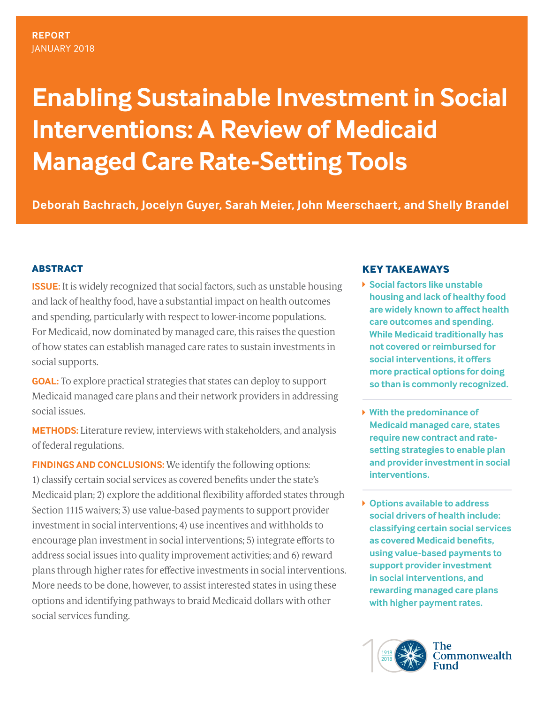# **Enabling Sustainable Investment in Social Interventions: A Review of Medicaid Managed Care Rate-Setting Tools**

**Deborah Bachrach, Jocelyn Guyer, Sarah Meier, John Meerschaert, and Shelly Brandel**

# **ABSTRACT**

**ISSUE:** It is widely recognized that social factors, such as unstable housing and lack of healthy food, have a substantial impact on health outcomes and spending, particularly with respect to lower-income populations. For Medicaid, now dominated by managed care, this raises the question of how states can establish managed care rates to sustain investments in social supports.

**GOAL:** To explore practical strategies that states can deploy to support Medicaid managed care plans and their network providers in addressing social issues.

**METHODS:** Literature review, interviews with stakeholders, and analysis of federal regulations.

**FINDINGS AND CONCLUSIONS:** We identify the following options: 1) classify certain social services as covered benefits under the state's Medicaid plan; 2) explore the additional flexibility afforded states through Section 1115 waivers; 3) use value-based payments to support provider investment in social interventions; 4) use incentives and withholds to encourage plan investment in social interventions; 5) integrate efforts to address social issues into quality improvement activities; and 6) reward plans through higher rates for effective investments in social interventions. More needs to be done, however, to assist interested states in using these options and identifying pathways to braid Medicaid dollars with other social services funding.

# **KEY TAKEAWAYS**

- **Social factors like unstable housing and lack of healthy food are widely known to affect health care outcomes and spending. While Medicaid traditionally has not covered or reimbursed for social interventions, it offers more practical options for doing so than is commonly recognized.**
- **With the predominance of Medicaid managed care, states require new contract and ratesetting strategies to enable plan and provider investment in social interventions.**
- **Options available to address social drivers of health include: classifying certain social services as covered Medicaid benefits, using value-based payments to support provider investment in social interventions, and rewarding managed care plans with higher payment rates.**

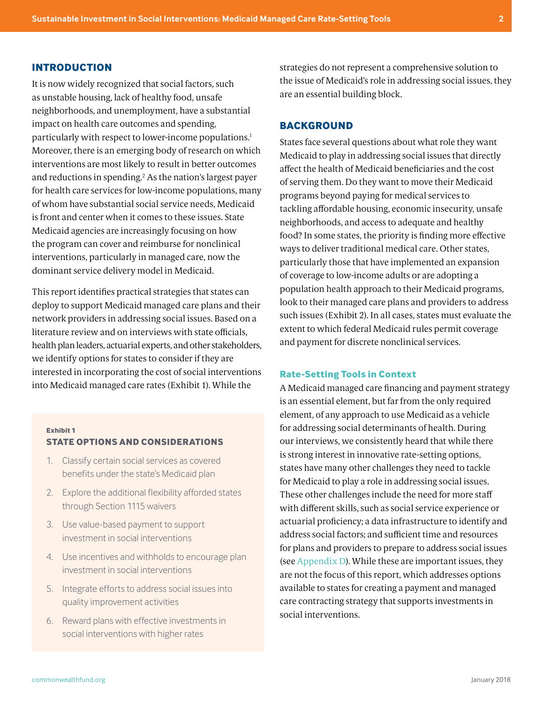## **INTRODUCTION**

It is now widely recognized that social factors, such as unstable housing, lack of healthy food, unsafe neighborhoods, and unemployment, have a substantial impact on health care outcomes and spending, particularly with respect to lower-income populations[.1](#page-13-0) Moreover, there is an emerging body of research on which interventions are most likely to result in better outcomes and reductions in spending.<sup>2</sup> As the nation's largest payer for health care services for low-income populations, many of whom have substantial social service needs, Medicaid is front and center when it comes to these issues. State Medicaid agencies are increasingly focusing on how the program can cover and reimburse for nonclinical interventions, particularly in managed care, now the dominant service delivery model in Medicaid.

This report identifies practical strategies that states can deploy to support Medicaid managed care plans and their network providers in addressing social issues. Based on a literature review and on interviews with state officials, health plan leaders, actuarial experts, and other stakeholders, we identify options for states to consider if they are interested in incorporating the cost of social interventions into Medicaid managed care rates (Exhibit 1). While the

#### **Exhibit 1**

#### **STATE OPTIONS AND CONSIDERATIONS**

- 1. Classify certain social services as covered benefits under the state's Medicaid plan
- 2. Explore the additional flexibility afforded states through Section 1115 waivers
- 3. Use value-based payment to support investment in social interventions
- 4. Use incentives and withholds to encourage plan investment in social interventions
- 5. Integrate efforts to address social issues into quality improvement activities
- 6. Reward plans with effective investments in social interventions with higher rates

strategies do not represent a comprehensive solution to the issue of Medicaid's role in addressing social issues, they are an essential building block.

### **BACKGROUND**

States face several questions about what role they want Medicaid to play in addressing social issues that directly affect the health of Medicaid beneficiaries and the cost of serving them. Do they want to move their Medicaid programs beyond paying for medical services to tackling affordable housing, economic insecurity, unsafe neighborhoods, and access to adequate and healthy food? In some states, the priority is finding more effective ways to deliver traditional medical care. Other states, particularly those that have implemented an expansion of coverage to low-income adults or are adopting a population health approach to their Medicaid programs, look to their managed care plans and providers to address such issues (Exhibit 2). In all cases, states must evaluate the extent to which federal Medicaid rules permit coverage and payment for discrete nonclinical services.

#### **Rate-Setting Tools in Context**

A Medicaid managed care financing and payment strategy is an essential element, but far from the only required element, of any approach to use Medicaid as a vehicle for addressing social determinants of health. During our interviews, we consistently heard that while there is strong interest in innovative rate-setting options, states have many other challenges they need to tackle for Medicaid to play a role in addressing social issues. These other challenges include the need for more staff with different skills, such as social service experience or actuarial proficiency; a data infrastructure to identify and address social factors; and sufficient time and resources for plans and providers to prepare to address social issues (see [Appendix D](#page-17-0)). While these are important issues, they are not the focus of this report, which addresses options available to states for creating a payment and managed care contracting strategy that supports investments in social interventions.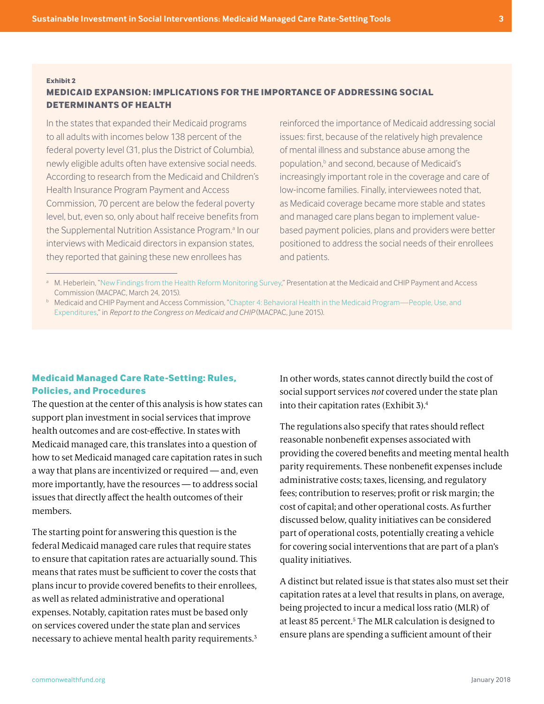## **MEDICAID EXPANSION: IMPLICATIONS FOR THE IMPORTANCE OF ADDRESSING SOCIAL DETERMINANTS OF HEALTH**

In the states that expanded their Medicaid programs to all adults with incomes below 138 percent of the federal poverty level (31, plus the District of Columbia), newly eligible adults often have extensive social needs. According to research from the Medicaid and Children's Health Insurance Program Payment and Access Commission, 70 percent are below the federal poverty level, but, even so, only about half receive benefits from the Supplemental Nutrition Assistance Program.<sup>a</sup> In our interviews with Medicaid directors in expansion states, they reported that gaining these new enrollees has

reinforced the importance of Medicaid addressing social issues: first, because of the relatively high prevalence of mental illness and substance abuse among the population,<sup>b</sup> and second, because of Medicaid's increasingly important role in the coverage and care of low-income families. Finally, interviewees noted that, as Medicaid coverage became more stable and states and managed care plans began to implement valuebased payment policies, plans and providers were better positioned to address the social needs of their enrollees and patients.

## **Medicaid Managed Care Rate-Setting: Rules, Policies, and Procedures**

The question at the center of this analysis is how states can support plan investment in social services that improve health outcomes and are cost-effective. In states with Medicaid managed care, this translates into a question of how to set Medicaid managed care capitation rates in such a way that plans are incentivized or required — and, even more importantly, have the resources — to address social issues that directly affect the health outcomes of their members.

The starting point for answering this question is the federal Medicaid managed care rules that require states to ensure that capitation rates are actuarially sound. This means that rates must be sufficient to cover the costs that plans incur to provide covered benefits to their enrollees, as well as related administrative and operational expenses. Notably, capitation rates must be based only on services covered under the state plan and services necessary to achieve mental health parity requirements.3 In other words, states cannot directly build the cost of social support services *not* covered under the state plan into their capitation rates (Exhibit 3).4

The regulations also specify that rates should reflect reasonable nonbenefit expenses associated with providing the covered benefits and meeting mental health parity requirements. These nonbenefit expenses include administrative costs; taxes, licensing, and regulatory fees; contribution to reserves; profit or risk margin; the cost of capital; and other operational costs. As further discussed below, quality initiatives can be considered part of operational costs, potentially creating a vehicle for covering social interventions that are part of a plan's quality initiatives.

A distinct but related issue is that states also must set their capitation rates at a level that results in plans, on average, being projected to incur a medical loss ratio (MLR) of at least 85 percent.<sup>5</sup> The MLR calculation is designed to ensure plans are spending a sufficient amount of their

<sup>&</sup>lt;sup>a</sup> M. Heberlein, "[New Findings from the Health Reform Monitoring Survey,](https://www.macpac.gov/wp-content/uploads/2015/03/09_New-Findings-from-the-Health-Reform-Monitoring-Survey.pdf)" Presentation at the Medicaid and CHIP Payment and Access Commission (MACPAC, March 24, 2015).

<sup>b</sup> Medicaid and CHIP Payment and Access Commission, ["Chapter 4: Behavioral Health in the Medicaid Program—People, Use, and](https://www.macpac.gov/wp-content/uploads/2015/06/Behavioral-Health-in-the-Medicaid-Program%E2%80%94People-Use-and-Expenditures.pdf)  [Expenditures](https://www.macpac.gov/wp-content/uploads/2015/06/Behavioral-Health-in-the-Medicaid-Program%E2%80%94People-Use-and-Expenditures.pdf)," in *Report to the Congress on Medicaid and CHIP* (MACPAC, June 2015).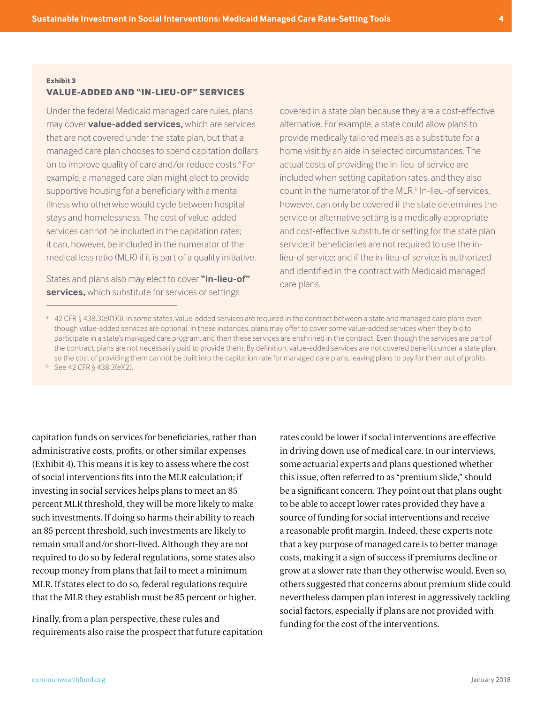### **VALUE-ADDED AND "IN-LIEU-OF" SERVICES**

Under the federal Medicaid managed care rules, plans may cover **value-added services,** which are services that are not covered under the state plan, but that a managed care plan chooses to spend capitation dollars on to improve quality of care and/or reduce costs.<sup>a</sup> For example, a managed care plan might elect to provide supportive housing for a beneficiary with a mental illness who otherwise would cycle between hospital stays and homelessness. The cost of value-added services cannot be included in the capitation rates; it can, however, be included in the numerator of the medical loss ratio (MLR) if it is part of a quality initiative.

States and plans also may elect to cover **"in-lieu-of" services,** which substitute for services or settings

covered in a state plan because they are a cost-effective alternative. For example, a state could allow plans to provide medically tailored meals as a substitute for a home visit by an aide in selected circumstances. The actual costs of providing the in-lieu-of service are included when setting capitation rates, and they also count in the numerator of the MLR.<sup>b</sup> In-lieu-of services, however, can only be covered if the state determines the service or alternative setting is a medically appropriate and cost-effective substitute or setting for the state plan service; if beneficiaries are not required to use the inlieu-of service; and if the in-lieu-of service is authorized and identified in the contract with Medicaid managed care plans.

<sup>a</sup> 42 CFR § 438.3(e)(1)(i). In some states, value-added services are required in the contract between a state and managed care plans even though value-added services are optional. In these instances, plans may offer to cover some value-added services when they bid to participate in a state's managed care program, and then these services are enshrined in the contract. Even though the services are part of the contract, plans are not necessarily paid to provide them. By definition, value-added services are not covered benefits under a state plan, so the cost of providing them cannot be built into the capitation rate for managed care plans, leaving plans to pay for them out of profits.

 $b$  See 42 CFR § 438.3(e)(2).

capitation funds on services for beneficiaries, rather than administrative costs, profits, or other similar expenses (Exhibit 4). This means it is key to assess where the cost of social interventions fits into the MLR calculation; if investing in social services helps plans to meet an 85 percent MLR threshold, they will be more likely to make such investments. If doing so harms their ability to reach an 85 percent threshold, such investments are likely to remain small and/or short-lived. Although they are not required to do so by federal regulations, some states also recoup money from plans that fail to meet a minimum MLR. If states elect to do so, federal regulations require that the MLR they establish must be 85 percent or higher.

Finally, from a plan perspective, these rules and requirements also raise the prospect that future capitation rates could be lower if social interventions are effective in driving down use of medical care. In our interviews, some actuarial experts and plans questioned whether this issue, often referred to as "premium slide," should be a significant concern. They point out that plans ought to be able to accept lower rates provided they have a source of funding for social interventions and receive a reasonable profit margin. Indeed, these experts note that a key purpose of managed care is to better manage costs, making it a sign of success if premiums decline or grow at a slower rate than they otherwise would. Even so, others suggested that concerns about premium slide could nevertheless dampen plan interest in aggressively tackling social factors, especially if plans are not provided with funding for the cost of the interventions.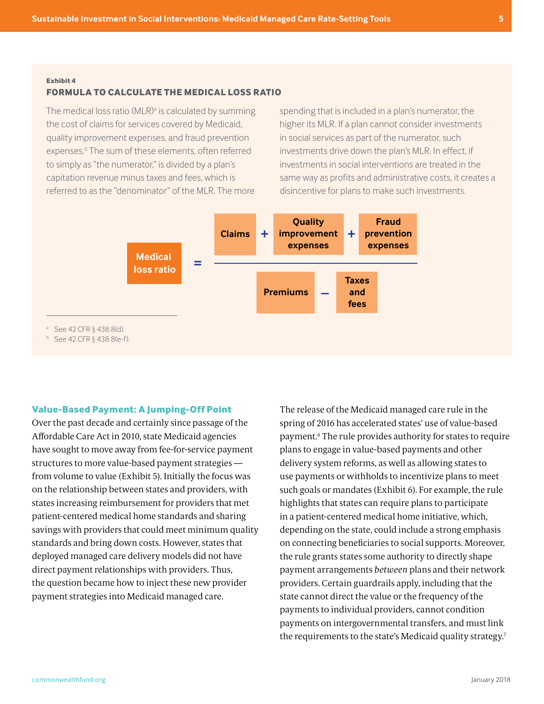#### **FORMULA TO CALCULATE THE MEDICAL LOSS RATIO**

The medical loss ratio (MLR)<sup>a</sup> is calculated by summing the cost of claims for services covered by Medicaid, quality improvement expenses, and fraud prevention expenses.<sup>b</sup> The sum of these elements, often referred to simply as "the numerator," is divided by a plan's capitation revenue minus taxes and fees, which is referred to as the "denominator" of the MLR. The more

spending that is included in a plan's numerator, the higher its MLR. If a plan cannot consider investments in social services as part of the numerator, such investments drive down the plan's MLR. In effect, if investments in social interventions are treated in the same way as profits and administrative costs, it creates a disincentive for plans to make such investments.



#### **Value-Based Payment: A Jumping-Off Point**

Over the past decade and certainly since passage of the Affordable Care Act in 2010, state Medicaid agencies have sought to move away from fee-for-service payment structures to more value-based payment strategies from volume to value (Exhibit 5). Initially the focus was on the relationship between states and providers, with states increasing reimbursement for providers that met patient-centered medical home standards and sharing savings with providers that could meet minimum quality standards and bring down costs. However, states that deployed managed care delivery models did not have direct payment relationships with providers. Thus, the question became how to inject these new provider payment strategies into Medicaid managed care.

The release of the Medicaid managed care rule in the spring of 2016 has accelerated states' use of value-based payment.6 The rule provides authority for states to require plans to engage in value-based payments and other delivery system reforms, as well as allowing states to use payments or withholds to incentivize plans to meet such goals or mandates (Exhibit 6). For example, the rule highlights that states can require plans to participate in a patient-centered medical home initiative, which, depending on the state, could include a strong emphasis on connecting beneficiaries to social supports. Moreover, the rule grants states some authority to directly shape payment arrangements *between* plans and their network providers. Certain guardrails apply, including that the state cannot direct the value or the frequency of the payments to individual providers, cannot condition payments on intergovernmental transfers, and must link the requirements to the state's Medicaid quality strategy.<sup>7</sup>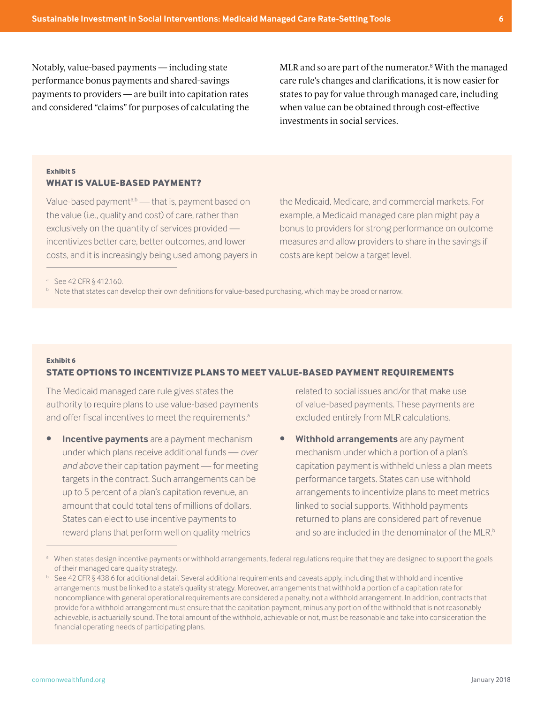Notably, value-based payments — including state performance bonus payments and shared-savings payments to providers — are built into capitation rates and considered "claims" for purposes of calculating the

MLR and so are part of the numerator.8 With the managed care rule's changes and clarifications, it is now easier for states to pay for value through managed care, including when value can be obtained through cost-effective investments in social services.

## **Exhibit 5 WHAT IS VALUE-BASED PAYMENT?**

Value-based payment $a,b$  — that is, payment based on the value (i.e., quality and cost) of care, rather than exclusively on the quantity of services provided incentivizes better care, better outcomes, and lower costs, and it is increasingly being used among payers in the Medicaid, Medicare, and commercial markets. For example, a Medicaid managed care plan might pay a bonus to providers for strong performance on outcome measures and allow providers to share in the savings if costs are kept below a target level.

<sup>a</sup> See 42 CFR § 412.160.

**b** Note that states can develop their own definitions for value-based purchasing, which may be broad or narrow.

#### **Exhibit 6 STATE OPTIONS TO INCENTIVIZE PLANS TO MEET VALUE-BASED PAYMENT REQUIREMENTS**

The Medicaid managed care rule gives states the authority to require plans to use value-based payments and offer fiscal incentives to meet the requirements.<sup>a</sup>

**• Incentive payments** are a payment mechanism under which plans receive additional funds — *over and above* their capitation payment — for meeting targets in the contract. Such arrangements can be up to 5 percent of a plan's capitation revenue, an amount that could total tens of millions of dollars. States can elect to use incentive payments to reward plans that perform well on quality metrics

related to social issues and/or that make use of value-based payments. These payments are excluded entirely from MLR calculations.

**• Withhold arrangements** are any payment mechanism under which a portion of a plan's capitation payment is withheld unless a plan meets performance targets. States can use withhold arrangements to incentivize plans to meet metrics linked to social supports. Withhold payments returned to plans are considered part of revenue and so are included in the denominator of the MLR.<sup>b</sup>

<sup>&</sup>lt;sup>a</sup> When states design incentive payments or withhold arrangements, federal regulations require that they are designed to support the goals of their managed care quality strategy.

 $b$  See 42 CFR § 438.6 for additional detail. Several additional requirements and caveats apply, including that withhold and incentive arrangements must be linked to a state's quality strategy. Moreover, arrangements that withhold a portion of a capitation rate for noncompliance with general operational requirements are considered a penalty, not a withhold arrangement. In addition, contracts that provide for a withhold arrangement must ensure that the capitation payment, minus any portion of the withhold that is not reasonably achievable, is actuarially sound. The total amount of the withhold, achievable or not, must be reasonable and take into consideration the financial operating needs of participating plans.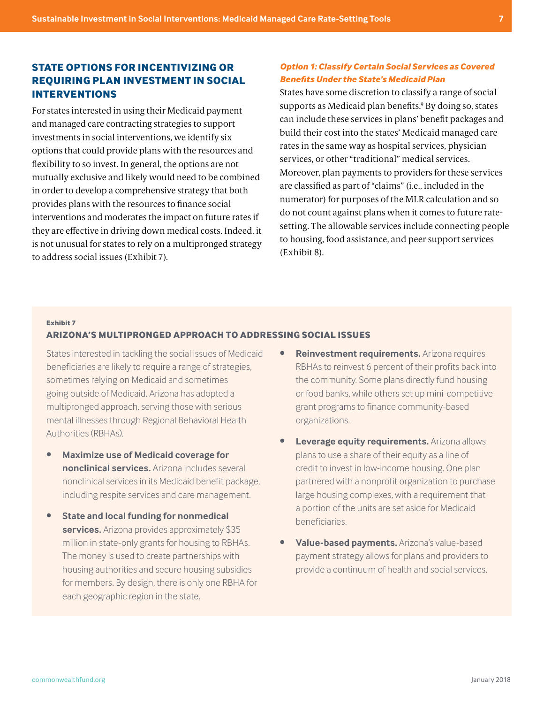# **STATE OPTIONS FOR INCENTIVIZING OR REQUIRING PLAN INVESTMENT IN SOCIAL INTERVENTIONS**

For states interested in using their Medicaid payment and managed care contracting strategies to support investments in social interventions, we identify six options that could provide plans with the resources and flexibility to so invest. In general, the options are not mutually exclusive and likely would need to be combined in order to develop a comprehensive strategy that both provides plans with the resources to finance social interventions and moderates the impact on future rates if they are effective in driving down medical costs. Indeed, it is not unusual for states to rely on a multipronged strategy to address social issues (Exhibit 7).

## *Option 1: Classify Certain Social Services as Covered Benefits Under the State's Medicaid Plan*

States have some discretion to classify a range of social supports as Medicaid plan benefits.9 By doing so, states can include these services in plans' benefit packages and build their cost into the states' Medicaid managed care rates in the same way as hospital services, physician services, or other "traditional" medical services. Moreover, plan payments to providers for these services are classified as part of "claims" (i.e., included in the numerator) for purposes of the MLR calculation and so do not count against plans when it comes to future ratesetting. The allowable services include connecting people to housing, food assistance, and peer support services (Exhibit 8).

#### **Exhibit 7**

## **ARIZONA'S MULTIPRONGED APPROACH TO ADDRESSING SOCIAL ISSUES**

States interested in tackling the social issues of Medicaid beneficiaries are likely to require a range of strategies, sometimes relying on Medicaid and sometimes going outside of Medicaid. Arizona has adopted a multipronged approach, serving those with serious mental illnesses through Regional Behavioral Health Authorities (RBHAs).

- **• Maximize use of Medicaid coverage for nonclinical services.** Arizona includes several nonclinical services in its Medicaid benefit package, including respite services and care management.
- **• State and local funding for nonmedical services.** Arizona provides approximately \$35 million in state-only grants for housing to RBHAs. The money is used to create partnerships with housing authorities and secure housing subsidies for members. By design, there is only one RBHA for each geographic region in the state.
- **• Reinvestment requirements.** Arizona requires RBHAs to reinvest 6 percent of their profits back into the community. Some plans directly fund housing or food banks, while others set up mini-competitive grant programs to finance community-based organizations.
- **Leverage equity requirements.** Arizona allows plans to use a share of their equity as a line of credit to invest in low-income housing. One plan partnered with a nonprofit organization to purchase large housing complexes, with a requirement that a portion of the units are set aside for Medicaid beneficiaries.
- **• Value-based payments.** Arizona's value-based payment strategy allows for plans and providers to provide a continuum of health and social services.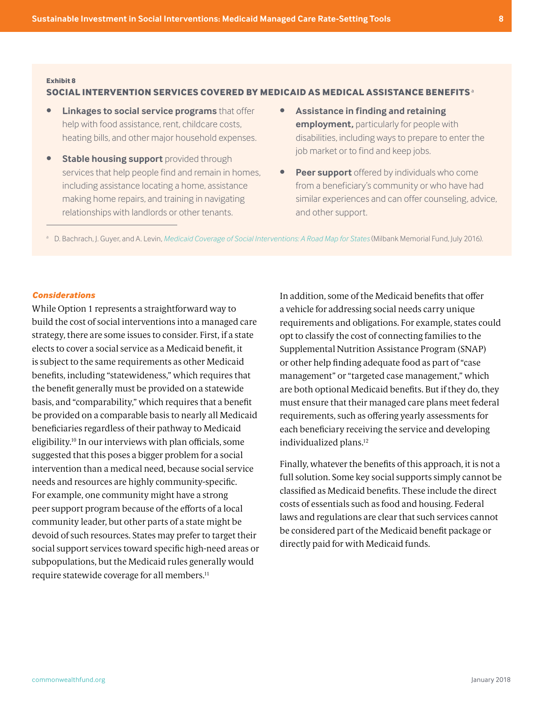#### **SOCIAL INTERVENTION SERVICES COVERED BY MEDICAID AS MEDICAL ASSISTANCE BENEFITS**<sup>a</sup>

- **• Linkages to social service programs** that offer help with food assistance, rent, childcare costs, heating bills, and other major household expenses.
- **• Stable housing support** provided through services that help people find and remain in homes, including assistance locating a home, assistance making home repairs, and training in navigating relationships with landlords or other tenants.
- **• Assistance in finding and retaining employment,** particularly for people with disabilities, including ways to prepare to enter the job market or to find and keep jobs.
- **Peer support** offered by individuals who come from a beneficiary's community or who have had similar experiences and can offer counseling, advice, and other support.

<sup>a</sup> D. Bachrach, J. Guyer, and A. Levin, *[Medicaid Coverage of Social Interventions: A Road Map for States](https://www.milbank.org/publications/medicaid-coverage-social-interventions-road-map-states/)* (Milbank Memorial Fund, July 2016).

## *Considerations*

While Option 1 represents a straightforward way to build the cost of social interventions into a managed care strategy, there are some issues to consider. First, if a state elects to cover a social service as a Medicaid benefit, it is subject to the same requirements as other Medicaid benefits, including "statewideness," which requires that the benefit generally must be provided on a statewide basis, and "comparability," which requires that a benefit be provided on a comparable basis to nearly all Medicaid beneficiaries regardless of their pathway to Medicaid eligibility.10 In our interviews with plan officials, some suggested that this poses a bigger problem for a social intervention than a medical need, because social service needs and resources are highly community-specific. For example, one community might have a strong peer support program because of the efforts of a local community leader, but other parts of a state might be devoid of such resources. States may prefer to target their social support services toward specific high-need areas or subpopulations, but the Medicaid rules generally would require statewide coverage for all members.11

In addition, some of the Medicaid benefits that offer a vehicle for addressing social needs carry unique requirements and obligations. For example, states could opt to classify the cost of connecting families to the Supplemental Nutrition Assistance Program (SNAP) or other help finding adequate food as part of "case management" or "targeted case management," which are both optional Medicaid benefits. But if they do, they must ensure that their managed care plans meet federal requirements, such as offering yearly assessments for each beneficiary receiving the service and developing individualized plans.<sup>12</sup>

Finally, whatever the benefits of this approach, it is not a full solution. Some key social supports simply cannot be classified as Medicaid benefits. These include the direct costs of essentials such as food and housing. Federal laws and regulations are clear that such services cannot be considered part of the Medicaid benefit package or directly paid for with Medicaid funds.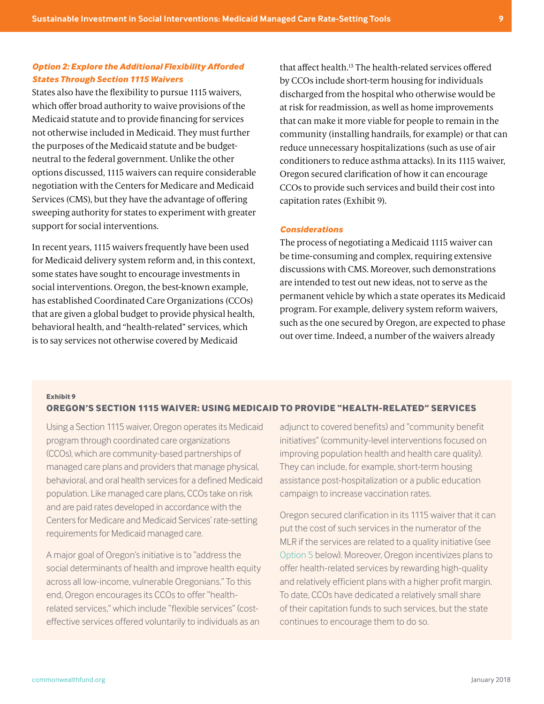## *Option 2: Explore the Additional Flexibility Afforded States Through Section 1115 Waivers*

States also have the flexibility to pursue 1115 waivers, which offer broad authority to waive provisions of the Medicaid statute and to provide financing for services not otherwise included in Medicaid. They must further the purposes of the Medicaid statute and be budgetneutral to the federal government. Unlike the other options discussed, 1115 waivers can require considerable negotiation with the Centers for Medicare and Medicaid Services (CMS), but they have the advantage of offering sweeping authority for states to experiment with greater support for social interventions.

In recent years, 1115 waivers frequently have been used for Medicaid delivery system reform and, in this context, some states have sought to encourage investments in social interventions. Oregon, the best-known example, has established Coordinated Care Organizations (CCOs) that are given a global budget to provide physical health, behavioral health, and "health-related" services, which is to say services not otherwise covered by Medicaid

that affect health[.13](#page-13-0) The health-related services offered by CCOs include short-term housing for individuals discharged from the hospital who otherwise would be at risk for readmission, as well as home improvements that can make it more viable for people to remain in the community (installing handrails, for example) or that can reduce unnecessary hospitalizations (such as use of air conditioners to reduce asthma attacks). In its 1115 waiver, Oregon secured clarification of how it can encourage CCOs to provide such services and build their cost into capitation rates (Exhibit 9).

## *Considerations*

The process of negotiating a Medicaid 1115 waiver can be time-consuming and complex, requiring extensive discussions with CMS. Moreover, such demonstrations are intended to test out new ideas, not to serve as the permanent vehicle by which a state operates its Medicaid program. For example, delivery system reform waivers, such as the one secured by Oregon, are expected to phase out over time. Indeed, a number of the waivers already

#### **Exhibit 9 OREGON'S SECTION 1115 WAIVER: USING MEDICAID TO PROVIDE "HEALTH-RELATED" SERVICES**

Using a Section 1115 waiver, Oregon operates its Medicaid program through coordinated care organizations (CCOs), which are community-based partnerships of managed care plans and providers that manage physical, behavioral, and oral health services for a defined Medicaid population. Like managed care plans, CCOs take on risk and are paid rates developed in accordance with the Centers for Medicare and Medicaid Services' rate-setting requirements for Medicaid managed care.

A major goal of Oregon's initiative is to "address the social determinants of health and improve health equity across all low-income, vulnerable Oregonians." To this end, Oregon encourages its CCOs to offer "healthrelated services," which include "flexible services" (costeffective services offered voluntarily to individuals as an

adjunct to covered benefits) and "community benefit initiatives" (community-level interventions focused on improving population health and health care quality). They can include, for example, short-term housing assistance post-hospitalization or a public education campaign to increase vaccination rates.

Oregon secured clarification in its 1115 waiver that it can put the cost of such services in the numerator of the MLR if the services are related to a quality initiative (see [Option 5](#page-11-0) below). Moreover, Oregon incentivizes plans to offer health-related services by rewarding high-quality and relatively efficient plans with a higher profit margin. To date, CCOs have dedicated a relatively small share of their capitation funds to such services, but the state continues to encourage them to do so.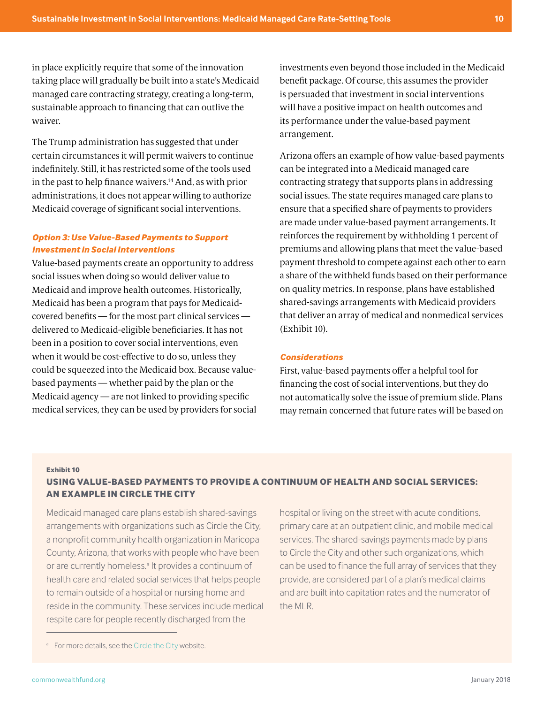in place explicitly require that some of the innovation taking place will gradually be built into a state's Medicaid managed care contracting strategy, creating a long-term, sustainable approach to financing that can outlive the waiver.

The Trump administration has suggested that under certain circumstances it will permit waivers to continue indefinitely. Still, it has restricted some of the tools used in the past to help finance waivers[.14](#page-13-0) And, as with prior administrations, it does not appear willing to authorize Medicaid coverage of significant social interventions.

## *Option 3: Use Value-Based Payments to Support Investment in Social Interventions*

Value-based payments create an opportunity to address social issues when doing so would deliver value to Medicaid and improve health outcomes. Historically, Medicaid has been a program that pays for Medicaidcovered benefits — for the most part clinical services delivered to Medicaid-eligible beneficiaries. It has not been in a position to cover social interventions, even when it would be cost-effective to do so, unless they could be squeezed into the Medicaid box. Because valuebased payments — whether paid by the plan or the Medicaid agency — are not linked to providing specific medical services, they can be used by providers for social investments even beyond those included in the Medicaid benefit package. Of course, this assumes the provider is persuaded that investment in social interventions will have a positive impact on health outcomes and its performance under the value-based payment arrangement.

Arizona offers an example of how value-based payments can be integrated into a Medicaid managed care contracting strategy that supports plans in addressing social issues. The state requires managed care plans to ensure that a specified share of payments to providers are made under value-based payment arrangements. It reinforces the requirement by withholding 1 percent of premiums and allowing plans that meet the value-based payment threshold to compete against each other to earn a share of the withheld funds based on their performance on quality metrics. In response, plans have established shared-savings arrangements with Medicaid providers that deliver an array of medical and nonmedical services (Exhibit 10).

### *Considerations*

First, value-based payments offer a helpful tool for financing the cost of social interventions, but they do not automatically solve the issue of premium slide. Plans may remain concerned that future rates will be based on

## **Exhibit 10**

# **USING VALUE-BASED PAYMENTS TO PROVIDE A CONTINUUM OF HEALTH AND SOCIAL SERVICES: AN EXAMPLE IN CIRCLE THE CITY**

Medicaid managed care plans establish shared-savings arrangements with organizations such as Circle the City, a nonprofit community health organization in Maricopa County, Arizona, that works with people who have been or are currently homeless.<sup>a</sup> It provides a continuum of health care and related social services that helps people to remain outside of a hospital or nursing home and reside in the community. These services include medical respite care for people recently discharged from the

hospital or living on the street with acute conditions, primary care at an outpatient clinic, and mobile medical services. The shared-savings payments made by plans to Circle the City and other such organizations, which can be used to finance the full array of services that they provide, are considered part of a plan's medical claims and are built into capitation rates and the numerator of the MLR.

<sup>&</sup>lt;sup>a</sup> For more details, see the [Circle the City](http://www.circlethecity.org/) website.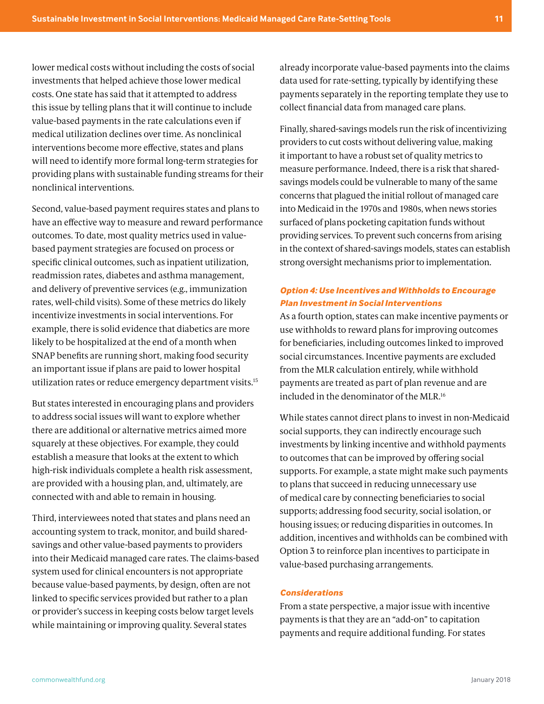lower medical costs without including the costs of social investments that helped achieve those lower medical costs. One state has said that it attempted to address this issue by telling plans that it will continue to include value-based payments in the rate calculations even if medical utilization declines over time. As nonclinical interventions become more effective, states and plans will need to identify more formal long-term strategies for providing plans with sustainable funding streams for their nonclinical interventions.

Second, value-based payment requires states and plans to have an effective way to measure and reward performance outcomes. To date, most quality metrics used in valuebased payment strategies are focused on process or specific clinical outcomes, such as inpatient utilization, readmission rates, diabetes and asthma management, and delivery of preventive services (e.g., immunization rates, well-child visits). Some of these metrics do likely incentivize investments in social interventions. For example, there is solid evidence that diabetics are more likely to be hospitalized at the end of a month when SNAP benefits are running short, making food security an important issue if plans are paid to lower hospital utilization rates or reduce emergency department visits.15

But states interested in encouraging plans and providers to address social issues will want to explore whether there are additional or alternative metrics aimed more squarely at these objectives. For example, they could establish a measure that looks at the extent to which high-risk individuals complete a health risk assessment, are provided with a housing plan, and, ultimately, are connected with and able to remain in housing.

Third, interviewees noted that states and plans need an accounting system to track, monitor, and build sharedsavings and other value-based payments to providers into their Medicaid managed care rates. The claims-based system used for clinical encounters is not appropriate because value-based payments, by design, often are not linked to specific services provided but rather to a plan or provider's success in keeping costs below target levels while maintaining or improving quality. Several states

already incorporate value-based payments into the claims data used for rate-setting, typically by identifying these payments separately in the reporting template they use to collect financial data from managed care plans.

Finally, shared-savings models run the risk of incentivizing providers to cut costs without delivering value, making it important to have a robust set of quality metrics to measure performance. Indeed, there is a risk that sharedsavings models could be vulnerable to many of the same concerns that plagued the initial rollout of managed care into Medicaid in the 1970s and 1980s, when news stories surfaced of plans pocketing capitation funds without providing services. To prevent such concerns from arising in the context of shared-savings models, states can establish strong oversight mechanisms prior to implementation.

## *Option 4: Use Incentives and Withholds to Encourage Plan Investment in Social Interventions*

As a fourth option, states can make incentive payments or use withholds to reward plans for improving outcomes for beneficiaries, including outcomes linked to improved social circumstances. Incentive payments are excluded from the MLR calculation entirely, while withhold payments are treated as part of plan revenue and are included in the denominator of the MLR.16

While states cannot direct plans to invest in non-Medicaid social supports, they can indirectly encourage such investments by linking incentive and withhold payments to outcomes that can be improved by offering social supports. For example, a state might make such payments to plans that succeed in reducing unnecessary use of medical care by connecting beneficiaries to social supports; addressing food security, social isolation, or housing issues; or reducing disparities in outcomes. In addition, incentives and withholds can be combined with Option 3 to reinforce plan incentives to participate in value-based purchasing arrangements.

## *Considerations*

From a state perspective, a major issue with incentive payments is that they are an "add-on" to capitation payments and require additional funding. For states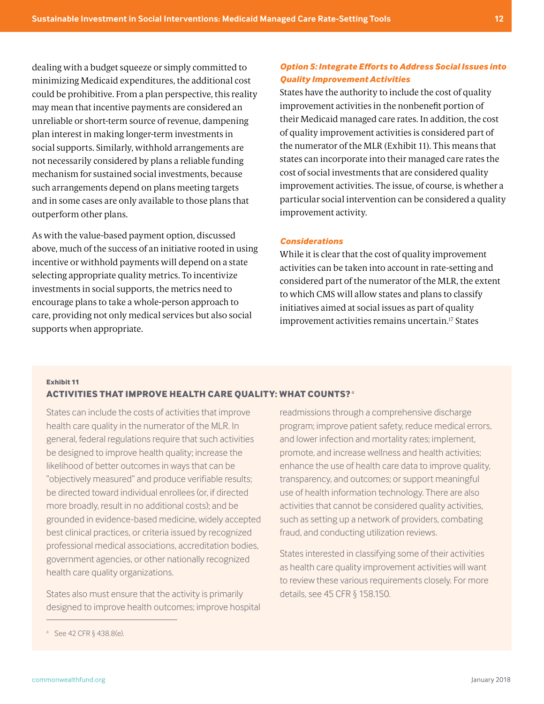<span id="page-11-0"></span>dealing with a budget squeeze or simply committed to minimizing Medicaid expenditures, the additional cost could be prohibitive. From a plan perspective, this reality may mean that incentive payments are considered an unreliable or short-term source of revenue, dampening plan interest in making longer-term investments in social supports. Similarly, withhold arrangements are not necessarily considered by plans a reliable funding mechanism for sustained social investments, because such arrangements depend on plans meeting targets and in some cases are only available to those plans that outperform other plans.

As with the value-based payment option, discussed above, much of the success of an initiative rooted in using incentive or withhold payments will depend on a state selecting appropriate quality metrics. To incentivize investments in social supports, the metrics need to encourage plans to take a whole-person approach to care, providing not only medical services but also social supports when appropriate.

## *Option 5: Integrate Efforts to Address Social Issues into Quality Improvement Activities*

States have the authority to include the cost of quality improvement activities in the nonbenefit portion of their Medicaid managed care rates. In addition, the cost of quality improvement activities is considered part of the numerator of the MLR (Exhibit 11). This means that states can incorporate into their managed care rates the cost of social investments that are considered quality improvement activities. The issue, of course, is whether a particular social intervention can be considered a quality improvement activity.

#### *Considerations*

While it is clear that the cost of quality improvement activities can be taken into account in rate-setting and considered part of the numerator of the MLR, the extent to which CMS will allow states and plans to classify initiatives aimed at social issues as part of quality improvement activities remains uncertain.<sup>17</sup> States

# **Exhibit 11**

## **ACTIVITIES THAT IMPROVE HEALTH CARE QUALITY: WHAT COUNTS?**<sup>a</sup>

States can include the costs of activities that improve health care quality in the numerator of the MLR. In general, federal regulations require that such activities be designed to improve health quality; increase the likelihood of better outcomes in ways that can be "objectively measured" and produce verifiable results; be directed toward individual enrollees (or, if directed more broadly, result in no additional costs); and be grounded in evidence-based medicine, widely accepted best clinical practices, or criteria issued by recognized professional medical associations, accreditation bodies, government agencies, or other nationally recognized health care quality organizations.

States also must ensure that the activity is primarily designed to improve health outcomes; improve hospital readmissions through a comprehensive discharge program; improve patient safety, reduce medical errors, and lower infection and mortality rates; implement, promote, and increase wellness and health activities; enhance the use of health care data to improve quality, transparency, and outcomes; or support meaningful use of health information technology. There are also activities that cannot be considered quality activities, such as setting up a network of providers, combating fraud, and conducting utilization reviews.

States interested in classifying some of their activities as health care quality improvement activities will want to review these various requirements closely. For more details, see 45 CFR § 158.150.

<sup>a</sup> See 42 CFR § 438.8(e).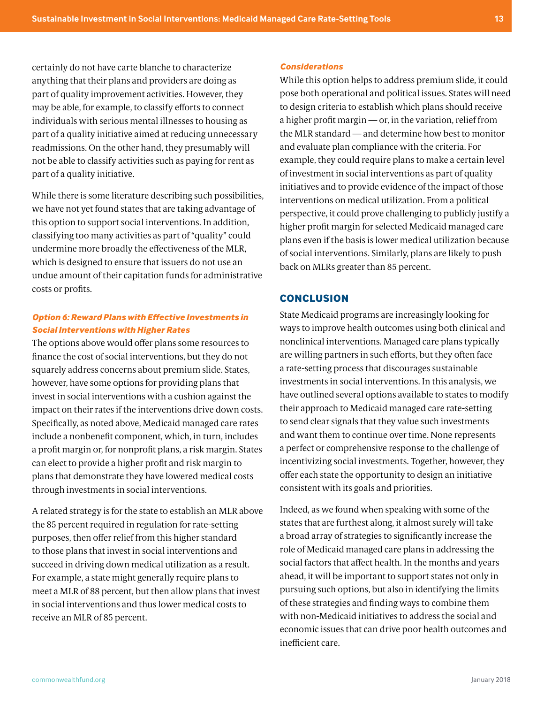certainly do not have carte blanche to characterize anything that their plans and providers are doing as part of quality improvement activities. However, they may be able, for example, to classify efforts to connect individuals with serious mental illnesses to housing as part of a quality initiative aimed at reducing unnecessary readmissions. On the other hand, they presumably will not be able to classify activities such as paying for rent as part of a quality initiative.

While there is some literature describing such possibilities, we have not yet found states that are taking advantage of this option to support social interventions. In addition, classifying too many activities as part of "quality" could undermine more broadly the effectiveness of the MLR, which is designed to ensure that issuers do not use an undue amount of their capitation funds for administrative costs or profits.

## *Option 6: Reward Plans with Effective Investments in Social Interventions with Higher Rates*

The options above would offer plans some resources to finance the cost of social interventions, but they do not squarely address concerns about premium slide. States, however, have some options for providing plans that invest in social interventions with a cushion against the impact on their rates if the interventions drive down costs. Specifically, as noted above, Medicaid managed care rates include a nonbenefit component, which, in turn, includes a profit margin or, for nonprofit plans, a risk margin. States can elect to provide a higher profit and risk margin to plans that demonstrate they have lowered medical costs through investments in social interventions.

A related strategy is for the state to establish an MLR above the 85 percent required in regulation for rate-setting purposes, then offer relief from this higher standard to those plans that invest in social interventions and succeed in driving down medical utilization as a result. For example, a state might generally require plans to meet a MLR of 88 percent, but then allow plans that invest in social interventions and thus lower medical costs to receive an MLR of 85 percent.

#### *Considerations*

While this option helps to address premium slide, it could pose both operational and political issues. States will need to design criteria to establish which plans should receive a higher profit margin — or, in the variation, relief from the MLR standard — and determine how best to monitor and evaluate plan compliance with the criteria. For example, they could require plans to make a certain level of investment in social interventions as part of quality initiatives and to provide evidence of the impact of those interventions on medical utilization. From a political perspective, it could prove challenging to publicly justify a higher profit margin for selected Medicaid managed care plans even if the basis is lower medical utilization because of social interventions. Similarly, plans are likely to push back on MLRs greater than 85 percent.

## **CONCLUSION**

State Medicaid programs are increasingly looking for ways to improve health outcomes using both clinical and nonclinical interventions. Managed care plans typically are willing partners in such efforts, but they often face a rate-setting process that discourages sustainable investments in social interventions. In this analysis, we have outlined several options available to states to modify their approach to Medicaid managed care rate-setting to send clear signals that they value such investments and want them to continue over time. None represents a perfect or comprehensive response to the challenge of incentivizing social investments. Together, however, they offer each state the opportunity to design an initiative consistent with its goals and priorities.

Indeed, as we found when speaking with some of the states that are furthest along, it almost surely will take a broad array of strategies to significantly increase the role of Medicaid managed care plans in addressing the social factors that affect health. In the months and years ahead, it will be important to support states not only in pursuing such options, but also in identifying the limits of these strategies and finding ways to combine them with non-Medicaid initiatives to address the social and economic issues that can drive poor health outcomes and inefficient care.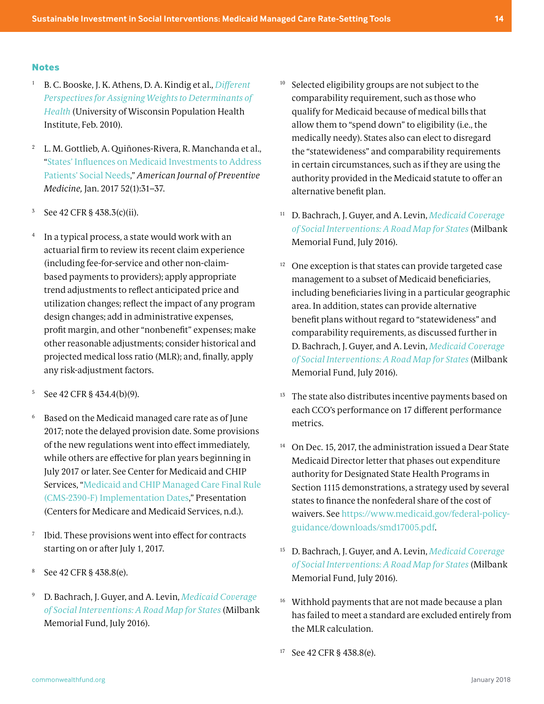#### <span id="page-13-0"></span>**Notes**

- <sup>1</sup> B. C. Booske, J. K. Athens, D. A. Kindig et al., *[Different](https://uwphi.pophealth.wisc.edu/publications/other/different-perspectives-for-assigning-weights-to-determinants-of-health.pdf)  [Perspectives for Assigning Weights to Determinants of](https://uwphi.pophealth.wisc.edu/publications/other/different-perspectives-for-assigning-weights-to-determinants-of-health.pdf)  [Health](https://uwphi.pophealth.wisc.edu/publications/other/different-perspectives-for-assigning-weights-to-determinants-of-health.pdf)* (University of Wisconsin Population Health Institute, Feb. 2010).
- <sup>2</sup> L. M. Gottlieb, A. Quiñones-Rivera, R. Manchanda et al., ["States' Influences on Medicaid Investments to Address](http://www.ajpmonline.org/article/S0749-3797(16)30304-X/fulltext)  [Patients' Social Needs,](http://www.ajpmonline.org/article/S0749-3797(16)30304-X/fulltext)" *American Journal of Preventive Medicine,* Jan. 2017 52(1):31–37.
- <sup>3</sup> See 42 CFR § 438.3(c)(ii).
- <sup>4</sup> In a typical process, a state would work with an actuarial firm to review its recent claim experience (including fee-for-service and other non-claimbased payments to providers); apply appropriate trend adjustments to reflect anticipated price and utilization changes; reflect the impact of any program design changes; add in administrative expenses, profit margin, and other "nonbenefit" expenses; make other reasonable adjustments; consider historical and projected medical loss ratio (MLR); and, finally, apply any risk-adjustment factors.
- <sup>5</sup> See 42 CFR § 434.4(b)(9).
- <sup>6</sup> Based on the Medicaid managed care rate as of June 2017; note the delayed provision date. Some provisions of the new regulations went into effect immediately, while others are effective for plan years beginning in July 2017 or later. See Center for Medicaid and CHIP Services, "[Medicaid and CHIP Managed Care Final Rule](https://www.medicaid.gov/medicaid/managed-care/downloads/webinar-implementation-dates.pdf)  [\(CMS-2390-F\) Implementation Dates,](https://www.medicaid.gov/medicaid/managed-care/downloads/webinar-implementation-dates.pdf)" Presentation (Centers for Medicare and Medicaid Services, n.d.).
- <sup>7</sup> Ibid. These provisions went into effect for contracts starting on or after July 1, 2017.
- <sup>8</sup> See 42 CFR § 438.8(e).
- <sup>9</sup> D. Bachrach, J. Guyer, and A. Levin, *[Medicaid Coverage](https://www.milbank.org/publications/medicaid-coverage-social-interventions-road-map-states/)  [of Social Interventions: A Road Map for States](https://www.milbank.org/publications/medicaid-coverage-social-interventions-road-map-states/)* (Milbank Memorial Fund, July 2016).
- <sup>10</sup> Selected eligibility groups are not subject to the comparability requirement, such as those who qualify for Medicaid because of medical bills that allow them to "spend down" to eligibility (i.e., the medically needy). States also can elect to disregard the "statewideness" and comparability requirements in certain circumstances, such as if they are using the authority provided in the Medicaid statute to offer an alternative benefit plan.
- <sup>11</sup> D. Bachrach, J. Guyer, and A. Levin, *[Medicaid Coverage](https://www.milbank.org/publications/medicaid-coverage-social-interventions-road-map-states/)  [of Social Interventions: A Road Map for States](https://www.milbank.org/publications/medicaid-coverage-social-interventions-road-map-states/)* (Milbank Memorial Fund, July 2016).
- $12$  One exception is that states can provide targeted case management to a subset of Medicaid beneficiaries, including beneficiaries living in a particular geographic area. In addition, states can provide alternative benefit plans without regard to "statewideness" and comparability requirements, as discussed further in D. Bachrach, J. Guyer, and A. Levin, *[Medicaid Coverage](https://www.milbank.org/publications/medicaid-coverage-social-interventions-road-map-states/)  [of Social Interventions: A Road Map for States](https://www.milbank.org/publications/medicaid-coverage-social-interventions-road-map-states/)* (Milbank Memorial Fund, July 2016).
- <sup>13</sup> The state also distributes incentive payments based on each CCO's performance on 17 different performance metrics.
- <sup>14</sup> On Dec. 15, 2017, the administration issued a Dear State Medicaid Director letter that phases out expenditure authority for Designated State Health Programs in Section 1115 demonstrations, a strategy used by several states to finance the nonfederal share of the cost of waivers. See [https://www.medicaid.gov/federal-policy](https://www.medicaid.gov/federal-policy-guidance/downloads/smd17005.pdf)[guidance/downloads/smd17005.pdf.](https://www.medicaid.gov/federal-policy-guidance/downloads/smd17005.pdf)
- <sup>15</sup> D. Bachrach, J. Guyer, and A. Levin, *[Medicaid Coverage](https://www.milbank.org/publications/medicaid-coverage-social-interventions-road-map-states/)  [of Social Interventions: A Road Map for States](https://www.milbank.org/publications/medicaid-coverage-social-interventions-road-map-states/)* (Milbank Memorial Fund, July 2016).
- <sup>16</sup> Withhold payments that are not made because a plan has failed to meet a standard are excluded entirely from the MLR calculation.
- <sup>17</sup> See 42 CFR § 438.8(e).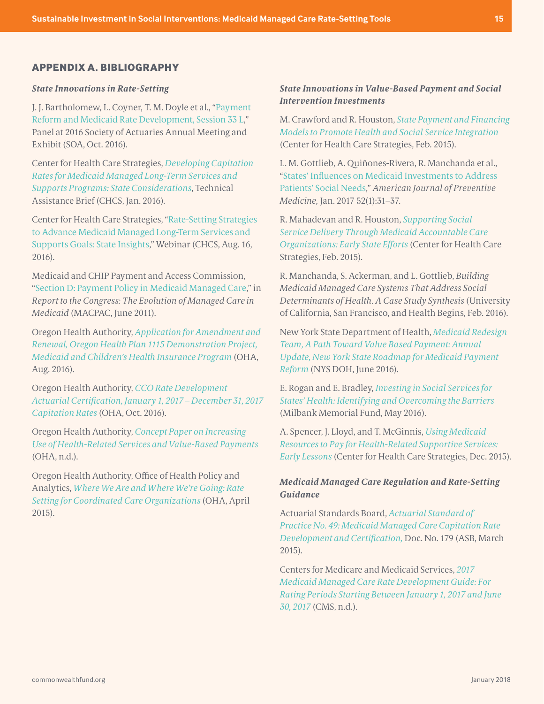## **APPENDIX A. BIBLIOGRAPHY**

#### *State Innovations in Rate-Setting*

J. J. Bartholomew, L. Coyner, T. M. Doyle et al., "[Payment](file:///Users/PDF/Downloads/pd-2016-10-annual-session-033.pdf)  [Reform and Medicaid Rate Development, Session 33 L,](file:///Users/PDF/Downloads/pd-2016-10-annual-session-033.pdf)" Panel at 2016 Society of Actuaries Annual Meeting and Exhibit (SOA, Oct. 2016).

Center for Health Care Strategies, *[Developing Capitation](http://www.chcs.org/media/MLTSS-Rate-Setting_Final1.pdf)  [Rates for Medicaid Managed Long-Term Services and](http://www.chcs.org/media/MLTSS-Rate-Setting_Final1.pdf)  [Supports Programs: State Considerations](http://www.chcs.org/media/MLTSS-Rate-Setting_Final1.pdf)*, Technical Assistance Brief (CHCS, Jan. 2016).

Center for Health Care Strategies, ["Rate-Setting Strategies](http://www.chcs.org/media/MLTSS-Rate-Setting-webinar-081616.pdf)  [to Advance Medicaid Managed Long-Term Services and](http://www.chcs.org/media/MLTSS-Rate-Setting-webinar-081616.pdf)  [Supports Goals: State Insights](http://www.chcs.org/media/MLTSS-Rate-Setting-webinar-081616.pdf)," Webinar (CHCS, Aug. 16, 2016).

Medicaid and CHIP Payment and Access Commission, "[Section D: Payment Policy in Medicaid Managed Care](https://www.macpac.gov/wp-content/uploads/2015/01/Payment_Policy_in_Medicaid_Managed_Care.pdf)," in *Report to the Congress: The Evolution of Managed Care in Medicaid* (MACPAC, June 2011).

Oregon Health Authority, *[Application for Amendment and](http://www.oregon.gov/oha/HPA/HP-Medicaid-1115-Waiver/Documents/Waiver-Renewal-Application.pdf)  [Renewal, Oregon Health Plan 1115 Demonstration Project,](http://www.oregon.gov/oha/HPA/HP-Medicaid-1115-Waiver/Documents/Waiver-Renewal-Application.pdf)  [Medicaid and Children's Health Insurance Program](http://www.oregon.gov/oha/HPA/HP-Medicaid-1115-Waiver/Documents/Waiver-Renewal-Application.pdf)* (OHA, Aug. 2016).

Oregon Health Authority, *[CCO Rate Development](http://www.oregon.gov/OHA/HPA/ANALYTICS/OHPRates/Oregon CY17 Capitation Rate Certification 2016-10-10.pdf)  [Actuarial Certification, January 1, 2017 – December 31, 2017](http://www.oregon.gov/OHA/HPA/ANALYTICS/OHPRates/Oregon CY17 Capitation Rate Certification 2016-10-10.pdf)  [Capitation Rates](http://www.oregon.gov/OHA/HPA/ANALYTICS/OHPRates/Oregon CY17 Capitation Rate Certification 2016-10-10.pdf)* (OHA, Oct. 2016).

Oregon Health Authority, *[Concept Paper on Increasing](https://digital.osl.state.or.us/islandora/object/osl%3A76614/datastream/OBJ/view)  [Use of Health-Related Services and Value-Based Payments](https://digital.osl.state.or.us/islandora/object/osl%3A76614/datastream/OBJ/view)* (OHA, n.d.).

Oregon Health Authority, Office of Health Policy and Analytics, *[Where We Are and Where We're Going: Rate](http://www.oregon.gov/oha/HPA/ANALYTICS/Documents/Rates Policy Brief 2015_4_27.pdf)  [Setting for Coordinated Care Organizations](http://www.oregon.gov/oha/HPA/ANALYTICS/Documents/Rates Policy Brief 2015_4_27.pdf)* (OHA, April 2015).

## *State Innovations in Value-Based Payment and Social Intervention Investments*

M. Crawford and R. Houston, *[State Payment and Financing](http://www.chcs.org/media/Medicaid_-Soc-Service-Financing_022515_2_Final.pdf)  [Models to Promote Health and Social Service Integration](http://www.chcs.org/media/Medicaid_-Soc-Service-Financing_022515_2_Final.pdf)* (Center for Health Care Strategies, Feb. 2015).

L. M. Gottlieb, A. Quiñones-Rivera, R. Manchanda et al., "[States' Influences on Medicaid Investments to Address](http://www.ajpmonline.org/article/S0749-3797(16)30304-X/fulltext)  [Patients' Social Needs](http://www.ajpmonline.org/article/S0749-3797(16)30304-X/fulltext)," *American Journal of Preventive Medicine,* Jan. 2017 52(1):31–37.

R. Mahadevan and R. Houston, *[Supporting Social](https://www.chcs.org/resource/supporting-social-services-medicaid-accountable-care-organizations-early-efforts/)  [Service Delivery Through Medicaid Accountable Care](https://www.chcs.org/resource/supporting-social-services-medicaid-accountable-care-organizations-early-efforts/)  [Organizations: Early State Efforts](https://www.chcs.org/resource/supporting-social-services-medicaid-accountable-care-organizations-early-efforts/)* (Center for Health Care Strategies, Feb. 2015).

R. Manchanda, S. Ackerman, and L. Gottlieb, *Building Medicaid Managed Care Systems That Address Social Determinants of Health. A Case Study Synthesis* (University of California, San Francisco, and Health Begins, Feb. 2016).

New York State Department of Health, *[Medicaid Redesign](https://www.health.ny.gov/health_care/medicaid/redesign/dsrip/2016/docs/2016-jun_annual_update.pdf)  [Team, A Path Toward Value Based Payment: Annual](https://www.health.ny.gov/health_care/medicaid/redesign/dsrip/2016/docs/2016-jun_annual_update.pdf)  [Update, New York State Roadmap for Medicaid Payment](https://www.health.ny.gov/health_care/medicaid/redesign/dsrip/2016/docs/2016-jun_annual_update.pdf)  [Reform](https://www.health.ny.gov/health_care/medicaid/redesign/dsrip/2016/docs/2016-jun_annual_update.pdf)* (NYS DOH, June 2016).

E. Rogan and E. Bradley, *[Investing in Social Services for](https://www.milbank.org/wp-content/uploads/2016/05/Bradley-Rogan-Investing-in-Social-Services-Report.pdf)  [States' Health: Identifying and Overcoming the Barriers](https://www.milbank.org/wp-content/uploads/2016/05/Bradley-Rogan-Investing-in-Social-Services-Report.pdf)* (Milbank Memorial Fund, May 2016).

A. Spencer, J. Lloyd, and T. McGinnis, *[Using Medicaid](http://www.chcs.org/media/Supportive-Services-Brief-Final-120315.pdf)  [Resources to Pay for Health-Related Supportive Services:](http://www.chcs.org/media/Supportive-Services-Brief-Final-120315.pdf)  [Early Lessons](http://www.chcs.org/media/Supportive-Services-Brief-Final-120315.pdf)* (Center for Health Care Strategies, Dec. 2015).

## *Medicaid Managed Care Regulation and Rate-Setting Guidance*

Actuarial Standards Board, *[Actuarial Standard of](http://www.actuarialstandardsboard.org/wp-content/uploads/2015/03/asop049_179.pdf)  [Practice No. 49: Medicaid Managed Care Capitation Rate](http://www.actuarialstandardsboard.org/wp-content/uploads/2015/03/asop049_179.pdf)  [Development and Certification,](http://www.actuarialstandardsboard.org/wp-content/uploads/2015/03/asop049_179.pdf)* Doc. No. 179 (ASB, March 2015).

Centers for Medicare and Medicaid Services, *[2017](https://www.medicaid.gov/medicaid/managed-care/downloads/2017-medicaid-managed-care-rate-development-guide.pdf)  [Medicaid Managed Care Rate Development Guide: For](https://www.medicaid.gov/medicaid/managed-care/downloads/2017-medicaid-managed-care-rate-development-guide.pdf)  [Rating Periods Starting Between January 1, 2017 and June](https://www.medicaid.gov/medicaid/managed-care/downloads/2017-medicaid-managed-care-rate-development-guide.pdf)  [30, 2017](https://www.medicaid.gov/medicaid/managed-care/downloads/2017-medicaid-managed-care-rate-development-guide.pdf)* (CMS, n.d.).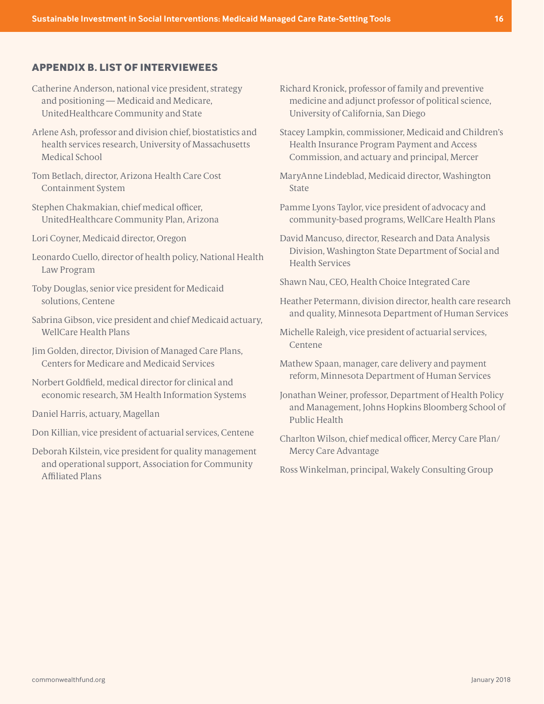## <span id="page-15-0"></span>**APPENDIX B. LIST OF INTERVIEWEES**

- Catherine Anderson, national vice president, strategy and positioning — Medicaid and Medicare, UnitedHealthcare Community and State
- Arlene Ash, professor and division chief, biostatistics and health services research, University of Massachusetts Medical School
- Tom Betlach, director, Arizona Health Care Cost Containment System
- Stephen Chakmakian, chief medical officer, UnitedHealthcare Community Plan, Arizona
- Lori Coyner, Medicaid director, Oregon
- Leonardo Cuello, director of health policy, National Health Law Program
- Toby Douglas, senior vice president for Medicaid solutions, Centene
- Sabrina Gibson, vice president and chief Medicaid actuary, WellCare Health Plans
- Jim Golden, director, Division of Managed Care Plans, Centers for Medicare and Medicaid Services
- Norbert Goldfield, medical director for clinical and economic research, 3M Health Information Systems
- Daniel Harris, actuary, Magellan
- Don Killian, vice president of actuarial services, Centene
- Deborah Kilstein, vice president for quality management and operational support, Association for Community Affiliated Plans
- Richard Kronick, professor of family and preventive medicine and adjunct professor of political science, University of California, San Diego
- Stacey Lampkin, commissioner, Medicaid and Children's Health Insurance Program Payment and Access Commission, and actuary and principal, Mercer
- MaryAnne Lindeblad, Medicaid director, Washington **State**
- Pamme Lyons Taylor, vice president of advocacy and community-based programs, WellCare Health Plans
- David Mancuso, director, Research and Data Analysis Division, Washington State Department of Social and Health Services
- Shawn Nau, CEO, Health Choice Integrated Care
- Heather Petermann, division director, health care research and quality, Minnesota Department of Human Services
- Michelle Raleigh, vice president of actuarial services, Centene
- Mathew Spaan, manager, care delivery and payment reform, Minnesota Department of Human Services
- Jonathan Weiner, professor, Department of Health Policy and Management, Johns Hopkins Bloomberg School of Public Health
- Charlton Wilson, chief medical officer, Mercy Care Plan/ Mercy Care Advantage

Ross Winkelman, principal, Wakely Consulting Group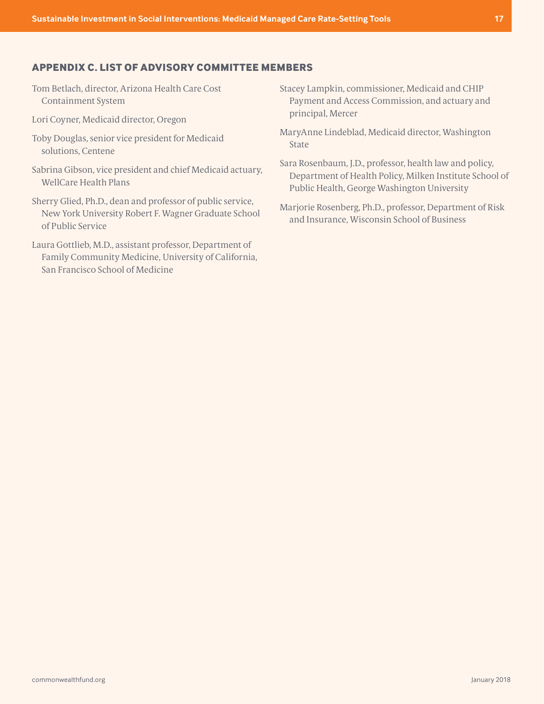# <span id="page-16-0"></span>**APPENDIX C. LIST OF ADVISORY COMMITTEE MEMBERS**

- Tom Betlach, director, Arizona Health Care Cost Containment System
- Lori Coyner, Medicaid director, Oregon
- Toby Douglas, senior vice president for Medicaid solutions, Centene
- Sabrina Gibson, vice president and chief Medicaid actuary, WellCare Health Plans
- Sherry Glied, Ph.D., dean and professor of public service, New York University Robert F. Wagner Graduate School of Public Service
- Laura Gottlieb, M.D., assistant professor, Department of Family Community Medicine, University of California, San Francisco School of Medicine
- Stacey Lampkin, commissioner, Medicaid and CHIP Payment and Access Commission, and actuary and principal, Mercer
- MaryAnne Lindeblad, Medicaid director, Washington State
- Sara Rosenbaum, J.D., professor, health law and policy, Department of Health Policy, Milken Institute School of Public Health, George Washington University
- Marjorie Rosenberg, Ph.D., professor, Department of Risk and Insurance, Wisconsin School of Business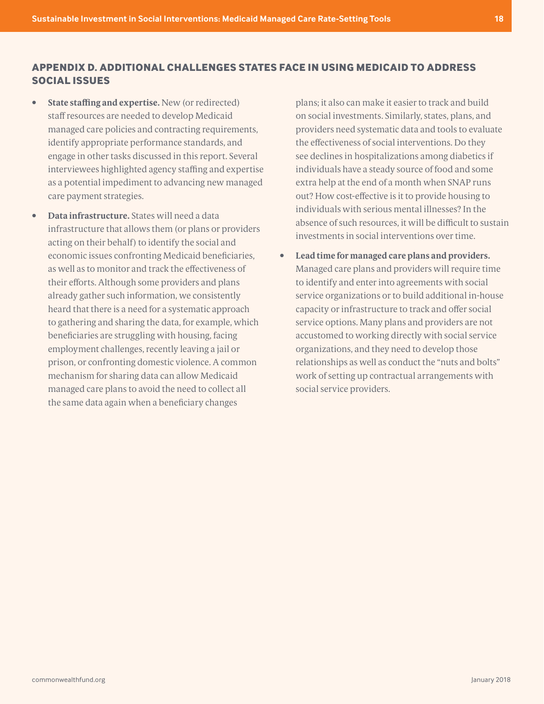# <span id="page-17-0"></span>**APPENDIX D. ADDITIONAL CHALLENGES STATES FACE IN USING MEDICAID TO ADDRESS SOCIAL ISSUES**

- **• State staffing and expertise.** New (or redirected) staff resources are needed to develop Medicaid managed care policies and contracting requirements, identify appropriate performance standards, and engage in other tasks discussed in this report. Several interviewees highlighted agency staffing and expertise as a potential impediment to advancing new managed care payment strategies.
- **• Data infrastructure.** States will need a data infrastructure that allows them (or plans or providers acting on their behalf) to identify the social and economic issues confronting Medicaid beneficiaries, as well as to monitor and track the effectiveness of their efforts. Although some providers and plans already gather such information, we consistently heard that there is a need for a systematic approach to gathering and sharing the data, for example, which beneficiaries are struggling with housing, facing employment challenges, recently leaving a jail or prison, or confronting domestic violence. A common mechanism for sharing data can allow Medicaid managed care plans to avoid the need to collect all the same data again when a beneficiary changes

plans; it also can make it easier to track and build on social investments. Similarly, states, plans, and providers need systematic data and tools to evaluate the effectiveness of social interventions. Do they see declines in hospitalizations among diabetics if individuals have a steady source of food and some extra help at the end of a month when SNAP runs out? How cost-effective is it to provide housing to individuals with serious mental illnesses? In the absence of such resources, it will be difficult to sustain investments in social interventions over time.

**• Lead time for managed care plans and providers.** Managed care plans and providers will require time to identify and enter into agreements with social service organizations or to build additional in-house capacity or infrastructure to track and offer social service options. Many plans and providers are not accustomed to working directly with social service organizations, and they need to develop those relationships as well as conduct the "nuts and bolts" work of setting up contractual arrangements with social service providers.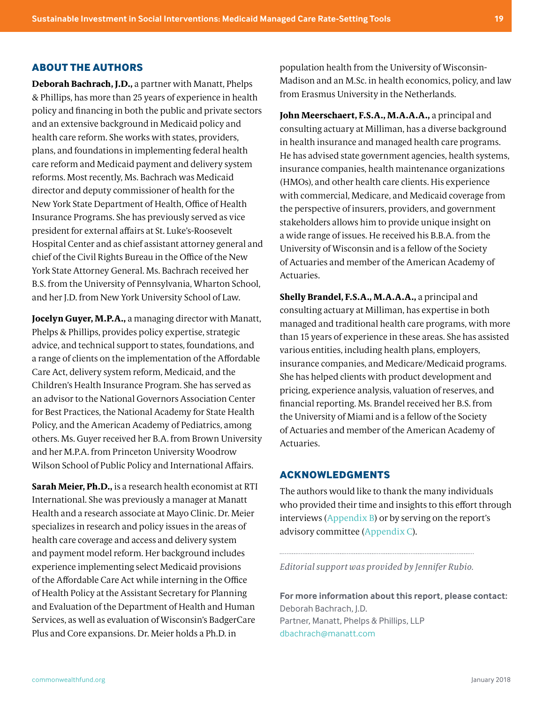# **ABOUT THE AUTHORS**

**Deborah Bachrach, J.D.,** a partner with Manatt, Phelps & Phillips, has more than 25 years of experience in health policy and financing in both the public and private sectors and an extensive background in Medicaid policy and health care reform. She works with states, providers, plans, and foundations in implementing federal health care reform and Medicaid payment and delivery system reforms. Most recently, Ms. Bachrach was Medicaid director and deputy commissioner of health for the New York State Department of Health, Office of Health Insurance Programs. She has previously served as vice president for external affairs at St. Luke's-Roosevelt Hospital Center and as chief assistant attorney general and chief of the Civil Rights Bureau in the Office of the New York State Attorney General. Ms. Bachrach received her B.S. from the University of Pennsylvania, Wharton School, and her J.D. from New York University School of Law.

**Jocelyn Guyer, M.P.A.,** a managing director with Manatt, Phelps & Phillips, provides policy expertise, strategic advice, and technical support to states, foundations, and a range of clients on the implementation of the Affordable Care Act, delivery system reform, Medicaid, and the Children's Health Insurance Program. She has served as an advisor to the National Governors Association Center for Best Practices, the National Academy for State Health Policy, and the American Academy of Pediatrics, among others. Ms. Guyer received her B.A. from Brown University and her M.P.A. from Princeton University Woodrow Wilson School of Public Policy and International Affairs.

**Sarah Meier, Ph.D.,** is a research health economist at RTI International. She was previously a manager at Manatt Health and a research associate at Mayo Clinic. Dr. Meier specializes in research and policy issues in the areas of health care coverage and access and delivery system and payment model reform. Her background includes experience implementing select Medicaid provisions of the Affordable Care Act while interning in the Office of Health Policy at the Assistant Secretary for Planning and Evaluation of the Department of Health and Human Services, as well as evaluation of Wisconsin's BadgerCare Plus and Core expansions. Dr. Meier holds a Ph.D. in

population health from the University of Wisconsin-Madison and an M.Sc. in health economics, policy, and law from Erasmus University in the Netherlands.

**John Meerschaert, F.S.A., M.A.A.A.,** a principal and consulting actuary at Milliman, has a diverse background in health insurance and managed health care programs. He has advised state government agencies, health systems, insurance companies, health maintenance organizations (HMOs), and other health care clients. His experience with commercial, Medicare, and Medicaid coverage from the perspective of insurers, providers, and government stakeholders allows him to provide unique insight on a wide range of issues. He received his B.B.A. from the University of Wisconsin and is a fellow of the Society of Actuaries and member of the American Academy of Actuaries.

**Shelly Brandel, F.S.A., M.A.A.A.,** a principal and consulting actuary at Milliman, has expertise in both managed and traditional health care programs, with more than 15 years of experience in these areas. She has assisted various entities, including health plans, employers, insurance companies, and Medicare/Medicaid programs. She has helped clients with product development and pricing, experience analysis, valuation of reserves, and financial reporting. Ms. Brandel received her B.S. from the University of Miami and is a fellow of the Society of Actuaries and member of the American Academy of Actuaries.

## **ACKNOWLEDGMENTS**

The authors would like to thank the many individuals who provided their time and insights to this effort through interviews ([Appendix B](#page-15-0)) or by serving on the report's advisory committee ([Appendix C](#page-16-0)).

*Editorial support was provided by Jennifer Rubio.*

**For more information about this report, please contact:**  Deborah Bachrach, J.D. Partner, Manatt, Phelps & Phillips, LLP dbachrach@manatt.com